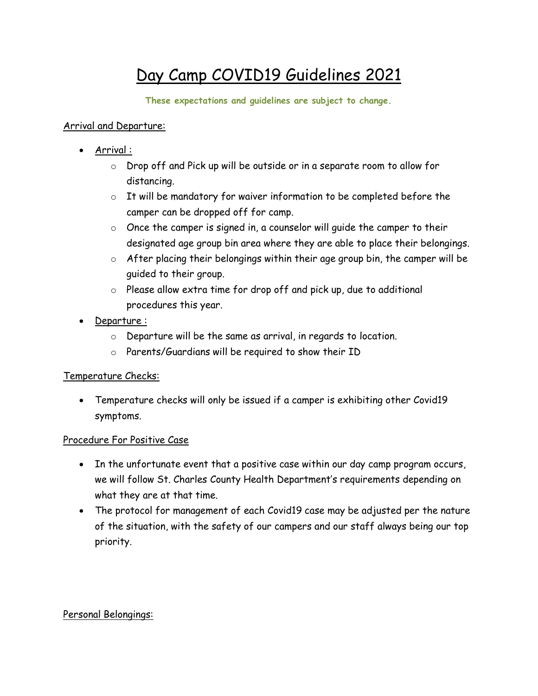# Day Camp COVID19 Guidelines 2021

**These expectations and guidelines are subject to change.**

### Arrival and Departure:

- Arrival :
	- o Drop off and Pick up will be outside or in a separate room to allow for distancing.
	- o It will be mandatory for waiver information to be completed before the camper can be dropped off for camp.
	- $\circ$  Once the camper is signed in, a counselor will quide the camper to their designated age group bin area where they are able to place their belongings.
	- $\circ$  After placing their belongings within their age group bin, the camper will be guided to their group.
	- o Please allow extra time for drop off and pick up, due to additional procedures this year.
- Departure :
	- o Departure will be the same as arrival, in regards to location.
	- o Parents/Guardians will be required to show their ID

## Temperature Checks:

 Temperature checks will only be issued if a camper is exhibiting other Covid19 symptoms.

## Procedure For Positive Case

- In the unfortunate event that a positive case within our day camp program occurs, we will follow St. Charles County Health Department's requirements depending on what they are at that time.
- The protocol for management of each Covid19 case may be adjusted per the nature of the situation, with the safety of our campers and our staff always being our top priority.

## Personal Belongings: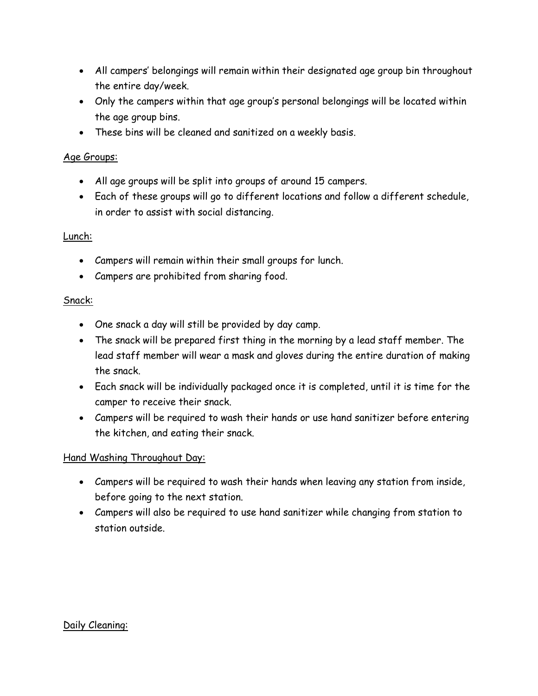- All campers' belongings will remain within their designated age group bin throughout the entire day/week.
- Only the campers within that age group's personal belongings will be located within the age group bins.
- These bins will be cleaned and sanitized on a weekly basis.

#### Age Groups:

- All age groups will be split into groups of around 15 campers.
- Each of these groups will go to different locations and follow a different schedule, in order to assist with social distancing.

#### Lunch:

- Campers will remain within their small groups for lunch.
- Campers are prohibited from sharing food.

#### Snack:

- One snack a day will still be provided by day camp.
- The snack will be prepared first thing in the morning by a lead staff member. The lead staff member will wear a mask and gloves during the entire duration of making the snack.
- Each snack will be individually packaged once it is completed, until it is time for the camper to receive their snack.
- Campers will be required to wash their hands or use hand sanitizer before entering the kitchen, and eating their snack.

### Hand Washing Throughout Day:

- Campers will be required to wash their hands when leaving any station from inside, before going to the next station.
- Campers will also be required to use hand sanitizer while changing from station to station outside.

#### Daily Cleaning: